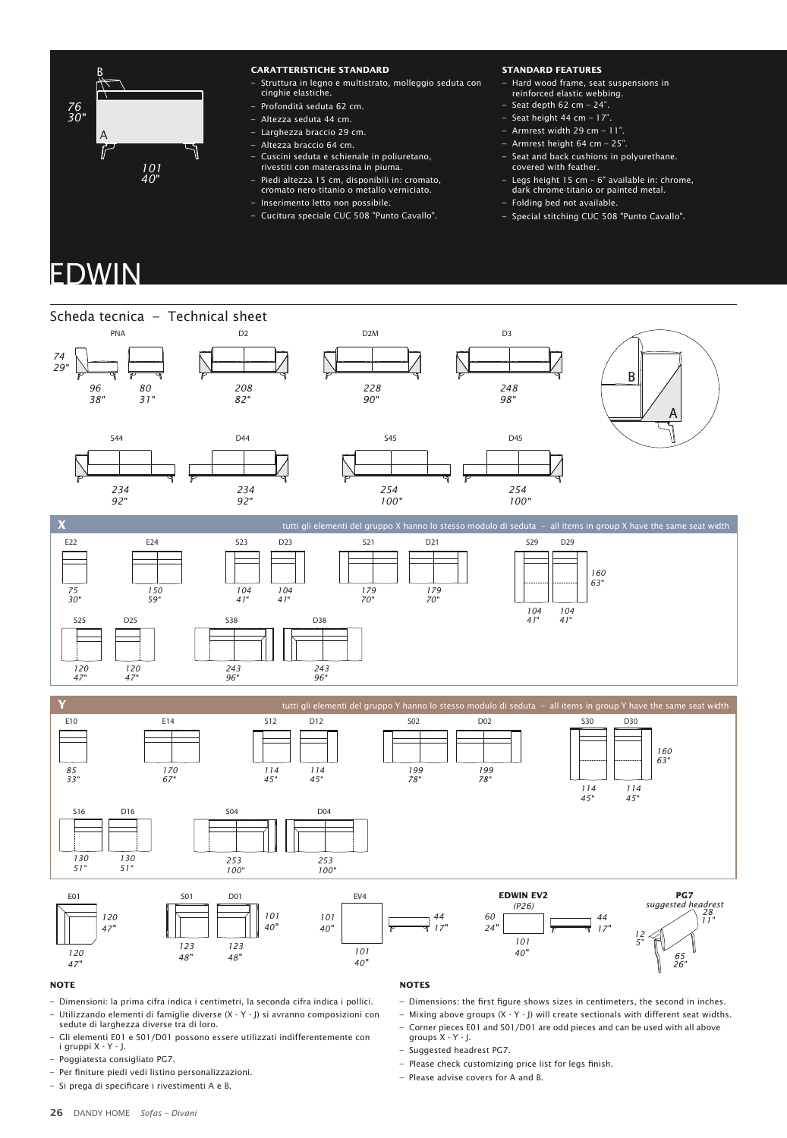

## **CARATTERISTICHE STANDARD**

- Struttura in legno e multistrato, molleggio seduta con cinghie elastiche.
- Profondità seduta 62 cm.
- Altezza seduta 44 cm.
- Larghezza braccio 29 cm.
- Altezza braccio 64 cm.
- Cuscini seduta e schienale in poliuretano, rivestiti con materassina in piuma.
- Piedi altezza 15 cm, disponibili in: cromato,
- cromato nero-titanio o metallo verniciato.
- Inserimento letto non possibile.
- Cucitura speciale CUC 508 "Punto Cavallo".
- **STANDARD FEATURES**
- Hard wood frame, seat suspensions in reinforced elastic webbing.
- $-$  Seat depth 62 cm  $-$  24".
- $-$  Seat height 44 cm  $-$  17".
- Armrest width 29 cm 11".
- Armrest height 64 cm 25".
- Seat and back cushions in polyurethane. covered with feather.
- Legs height 15 cm 6" available in: chrome, dark chrome-titanio or painted metal.
- Folding bed not available.
- Special stitching CUC 508 "Punto Cavallo".

## EDWIN



## **NOTE**

- Dimensioni: la prima cifra indica i centimetri, la seconda cifra indica i pollici.
- Utilizzando elementi di famiglie diverse (X Y J) si avranno composizioni con sedute di larghezza diverse tra di loro.
- Gli elementi E01 e S01/D01 possono essere utilizzati indifferentemente con i gruppi X Y J.
- Poggiatesta consigliato PG7.
- Per finiture piedi vedi listino personalizzazioni.
- Si prega di specificare i rivestimenti A e B.

## **NOTES**

- Dimensions: the first figure shows sizes in centimeters, the second in inches.
- Mixing above groups (X Y J) will create sectionals with different seat widths.
- Corner pieces E01 and S01/D01 are odd pieces and can be used with all above groups X - Y - J.
- Suggested headrest PG7.
- $-$  Please check customizing price list for legs finish.
- Please advise covers for A and B.